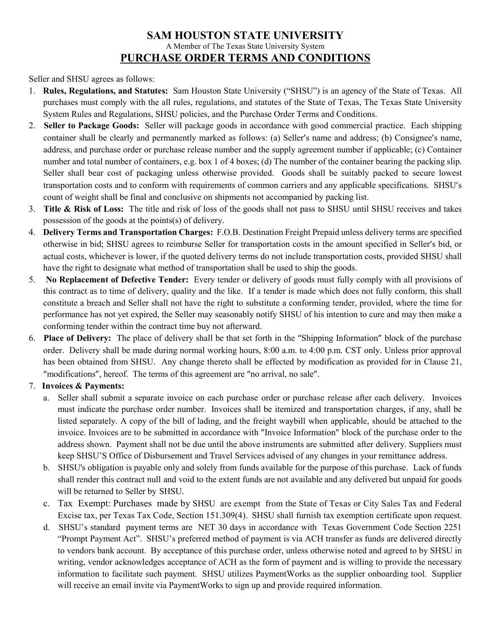# **SAM HOUSTON STATE UNIVERSITY** A Member of The Texas State University System **PURCHASE ORDER TERMS AND CONDITIONS**

#### Seller and SHSU agrees as follows:

- 1. **Rules, Regulations, and Statutes:** Sam Houston State University ("SHSU") is an agency of the State of Texas. All purchases must comply with the all rules, regulations, and statutes of the State of Texas, The Texas State University System Rules and Regulations, SHSU policies, and the Purchase Order Terms and Conditions.
- 2. **Seller to Package Goods:** Seller will package goods in accordance with good commercial practice. Each shipping container shall be clearly and permanently marked as follows: (a) Seller's name and address; (b) Consignee's name, address, and purchase order or purchase release number and the supply agreement number if applicable; (c) Container number and total number of containers, e.g. box 1 of 4 boxes; (d) The number of the container bearing the packing slip. Seller shall bear cost of packaging unless otherwise provided. Goods shall be suitably packed to secure lowest transportation costs and to conform with requirements of common carriers and any applicable specifications. SHSU's count of weight shall be final and conclusive on shipments not accompanied by packing list.
- 3. **Title & Risk of Loss:** The title and risk of loss of the goods shall not pass to SHSU until SHSU receives and takes possession of the goods at the points(s) of delivery.
- 4. **Delivery Terms and Transportation Charges:** F.O.B. Destination Freight Prepaid unless delivery terms are specified otherwise in bid; SHSU agrees to reimburse Seller for transportation costs in the amount specified in Seller's bid, or actual costs, whichever is lower, if the quoted delivery terms do not include transportation costs, provided SHSU shall have the right to designate what method of transportation shall be used to ship the goods.
- 5. **No Replacement of Defective Tender:** Every tender or delivery of goods must fully comply with all provisions of this contract as to time of delivery, quality and the like. If a tender is made which does not fully conform, this shall constitute a breach and Seller shall not have the right to substitute a conforming tender, provided, where the time for performance has not yet expired, the Seller may seasonably notify SHSU of his intention to cure and may then make a conforming tender within the contract time buy not afterward.
- 6. **Place of Delivery:** The place of delivery shall be that set forth in the "Shipping Information" block of the purchase order. Delivery shall be made during normal working hours, 8:00 a.m. to 4:00 p.m. CST only. Unless prior approval has been obtained from SHSU. Any change thereto shall be effected by modification as provided for in Clause 21, "modifications", hereof. The terms of this agreement are "no arrival, no sale".

## 7. **Invoices & Payments:**

- a. Seller shall submit a separate invoice on each purchase order or purchase release after each delivery. Invoices must indicate the purchase order number. Invoices shall be itemized and transportation charges, if any, shall be listed separately. A copy of the bill of lading, and the freight waybill when applicable, should be attached to the invoice. Invoices are to be submitted in accordance with "Invoice Information" block of the purchase order to the address shown. Payment shall not be due until the above instruments are submitted after delivery. Suppliers must keep SHSU'S Office of Disbursement and Travel Services advised of any changes in your remittance address.
- b. SHSU's obligation is payable only and solely from funds available for the purpose of this purchase. Lack of funds shall render this contract null and void to the extent funds are not available and any delivered but unpaid for goods will be returned to Seller by SHSU.
- c. Tax Exempt: Purchases made by SHSU are exempt from the State of Texas or City Sales Tax and Federal Excise tax, per Texas Tax Code, Section 151.309(4). SHSU shall furnish tax exemption certificate upon request.
- d. SHSU's standard payment terms are NET 30 days in accordance with Texas Government Code Section 2251 "Prompt Payment Act". SHSU's preferred method of payment is via ACH transfer as funds are delivered directly to vendors bank account. By acceptance of this purchase order, unless otherwise noted and agreed to by SHSU in writing, vendor acknowledges acceptance of ACH as the form of payment and is willing to provide the necessary information to facilitate such payment. SHSU utilizes PaymentWorks as the supplier onboarding tool. Supplier will receive an email invite via PaymentWorks to sign up and provide required information.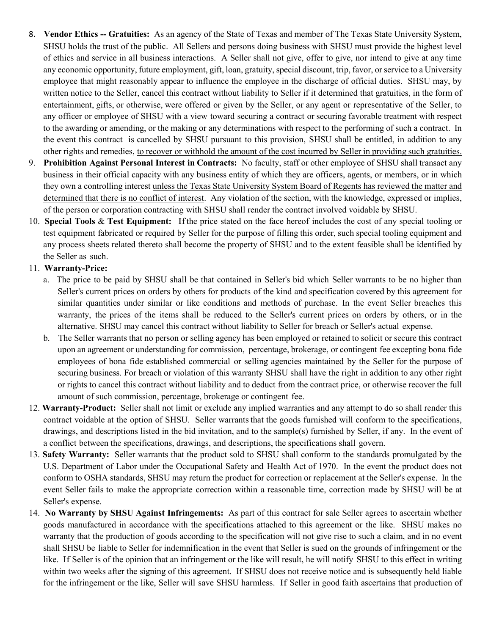- 8. **Vendor Ethics -- Gratuities:** As an agency of the State of Texas and member of The Texas State University System, SHSU holds the trust of the public. All Sellers and persons doing business with SHSU must provide the highest level of ethics and service in all business interactions. A Seller shall not give, offer to give, nor intend to give at any time any economic opportunity, future employment, gift, loan, gratuity, special discount, trip, favor, or service to a University employee that might reasonably appear to influence the employee in the discharge of official duties. SHSU may, by written notice to the Seller, cancel this contract without liability to Seller if it determined that gratuities, in the form of entertainment, gifts, or otherwise, were offered or given by the Seller, or any agent or representative of the Seller, to any officer or employee of SHSU with a view toward securing a contract or securing favorable treatment with respect to the awarding or amending, or the making or any determinations with respect to the performing of such a contract. In the event this contract is cancelled by SHSU pursuant to this provision, SHSU shall be entitled, in addition to any other rights and remedies, to recover or withhold the amount of the cost incurred by Seller in providing such gratuities.
- 9. **Prohibition Against Personal Interest in Contracts:** No faculty, staff or other employee of SHSU shall transact any business in their official capacity with any business entity of which they are officers, agents, or members, or in which they own a controlling interest unless the Texas State University System Board of Regents has reviewed the matter and determined that there is no conflict of interest. Any violation of the section, with the knowledge, expressed or implies, of the person or corporation contracting with SHSU shall render the contract involved voidable by SHSU.
- 10. **Special Tools** & **Test Equipment:** Ifthe price stated on the face hereof includes the cost of any special tooling or test equipment fabricated or required by Seller for the purpose of filling this order, such special tooling equipment and any process sheets related thereto shall become the property of SHSU and to the extent feasible shall be identified by the Seller as such.

#### 11. **Warranty-Price:**

- a. The price to be paid by SHSU shall be that contained in Seller's bid which Seller warrants to be no higher than Seller's current prices on orders by others for products of the kind and specification covered by this agreement for similar quantities under similar or like conditions and methods of purchase. In the event Seller breaches this warranty, the prices of the items shall be reduced to the Seller's current prices on orders by others, or in the alternative. SHSU may cancel this contract without liability to Seller for breach or Seller's actual expense.
- b. The Seller warrants that no person or selling agency has been employed or retained to solicit or secure this contract upon an agreement or understanding for commission, percentage, brokerage, or contingent fee excepting bona fide employees of bona fide established commercial or selling agencies maintained by the Seller for the purpose of securing business. For breach or violation of this warranty SHSU shall have the right in addition to any other right or rights to cancel this contract without liability and to deduct from the contract price, or otherwise recover the full amount of such commission, percentage, brokerage or contingent fee.
- 12. **Warranty-Product:** Seller shall not limit or exclude any implied warranties and any attempt to do so shall render this contract voidable at the option of SHSU. Seller warrants that the goods furnished will conform to the specifications, drawings, and descriptions listed in the bid invitation, and to the sample(s) furnished by Seller, if any. In the event of a conflict between the specifications, drawings, and descriptions, the specifications shall govern.
- 13. **Safety Warranty:** Seller warrants that the product sold to SHSU shall conform to the standards promulgated by the U.S. Department of Labor under the Occupational Safety and Health Act of 1970. In the event the product does not conform to OSHA standards, SHSU may return the product for correction or replacement at the Seller's expense. In the event Seller fails to make the appropriate correction within a reasonable time, correction made by SHSU will be at Seller's expense.
- 14. **No Warranty by SHSU Against Infringements:** As part of this contract for sale Seller agrees to ascertain whether goods manufactured in accordance with the specifications attached to this agreement or the like. SHSU makes no warranty that the production of goods according to the specification will not give rise to such a claim, and in no event shall SHSU be liable to Seller for indemnification in the event that Seller is sued on the grounds of infringement or the like. If Seller is of the opinion that an infringement or the like will result, he will notify SHSU to this effect in writing within two weeks after the signing of this agreement. If SHSU does not receive notice and is subsequently held liable for the infringement or the like, Seller will save SHSU harmless. If Seller in good faith ascertains that production of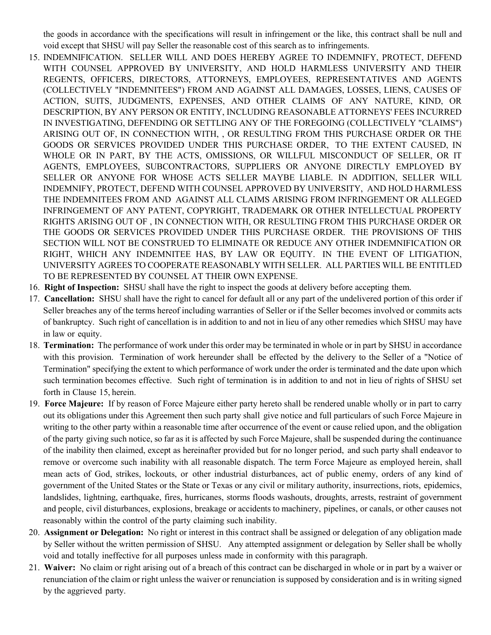the goods in accordance with the specifications will result in infringement or the like, this contract shall be null and void except that SHSU will pay Seller the reasonable cost of this search as to infringements.

- 15. INDEMNIFICATION. SELLER WILL AND DOES HEREBY AGREE TO INDEMNIFY, PROTECT, DEFEND WITH COUNSEL APPROVED BY UNIVERSITY, AND HOLD HARMLESS UNIVERSITY AND THEIR REGENTS, OFFICERS, DIRECTORS, ATTORNEYS, EMPLOYEES, REPRESENTATIVES AND AGENTS (COLLECTIVELY "INDEMNITEES") FROM AND AGAINST ALL DAMAGES, LOSSES, LIENS, CAUSES OF ACTION, SUITS, JUDGMENTS, EXPENSES, AND OTHER CLAIMS OF ANY NATURE, KIND, OR DESCRIPTION, BY ANY PERSON OR ENTITY, INCLUDING REASONABLE ATTORNEYS' FEES INCURRED IN INVESTIGATING, DEFENDING OR SETTLING ANY OF THE FOREGOING (COLLECTIVELY "CLAIMS") ARISING OUT OF, IN CONNECTION WITH, , OR RESULTING FROM THIS PURCHASE ORDER OR THE GOODS OR SERVICES PROVIDED UNDER THIS PURCHASE ORDER, TO THE EXTENT CAUSED, IN WHOLE OR IN PART, BY THE ACTS, OMISSIONS, OR WILLFUL MISCONDUCT OF SELLER, OR IT AGENTS, EMPLOYEES, SUBCONTRACTORS, SUPPLIERS OR ANYONE DIRECTLY EMPLOYED BY SELLER OR ANYONE FOR WHOSE ACTS SELLER MAYBE LIABLE. IN ADDITION, SELLER WILL INDEMNIFY, PROTECT, DEFEND WITH COUNSEL APPROVED BY UNIVERSITY, AND HOLD HARMLESS THE INDEMNITEES FROM AND AGAINST ALL CLAIMS ARISING FROM INFRINGEMENT OR ALLEGED INFRINGEMENT OF ANY PATENT, COPYRIGHT, TRADEMARK OR OTHER INTELLECTUAL PROPERTY RIGHTS ARISING OUT OF , IN CONNECTION WITH, OR RESULTING FROM THIS PURCHASE ORDER OR THE GOODS OR SERVICES PROVIDED UNDER THIS PURCHASE ORDER. THE PROVISIONS OF THIS SECTION WILL NOT BE CONSTRUED TO ELIMINATE OR REDUCE ANY OTHER INDEMNIFICATION OR RIGHT, WHICH ANY INDEMNITEE HAS, BY LAW OR EQUITY. IN THE EVENT OF LITIGATION, UNIVERSITY AGREES TO COOPERATE REASONABLY WITH SELLER. ALL PARTIES WILL BE ENTITLED TO BE REPRESENTED BY COUNSEL AT THEIR OWN EXPENSE.
- 16. **Right of Inspection:** SHSU shall have the right to inspect the goods at delivery before accepting them.
- 17. **Cancellation:** SHSU shall have the right to cancel for default all or any part of the undelivered portion of this order if Seller breaches any of the terms hereof including warranties of Seller or if the Seller becomes involved or commits acts of bankruptcy. Such right of cancellation is in addition to and not in lieu of any other remedies which SHSU may have in law or equity.
- 18. **Termination:** The performance of work under this order may be terminated in whole or in part by SHSU in accordance with this provision. Termination of work hereunder shall be effected by the delivery to the Seller of a "Notice of Termination" specifying the extent to which performance of work under the order is terminated and the date upon which such termination becomes effective. Such right of termination is in addition to and not in lieu of rights of SHSU set forth in Clause 15, herein.
- 19. **Force Majeure:** If by reason of Force Majeure either party hereto shall be rendered unable wholly or in part to carry out its obligations under this Agreement then such party shall give notice and full particulars of such Force Majeure in writing to the other party within a reasonable time after occurrence of the event or cause relied upon, and the obligation of the party giving such notice, so far as it is affected by such Force Majeure, shall be suspended during the continuance of the inability then claimed, except as hereinafter provided but for no longer period, and such party shall endeavor to remove or overcome such inability with all reasonable dispatch. The term Force Majeure as employed herein, shall mean acts of God, strikes, lockouts, or other industrial disturbances, act of public enemy, orders of any kind of government of the United States or the State or Texas or any civil or military authority, insurrections, riots, epidemics, landslides, lightning, earthquake, fires, hurricanes, storms floods washouts, droughts, arrests, restraint of government and people, civil disturbances, explosions, breakage or accidents to machinery, pipelines, or canals, or other causes not reasonably within the control of the party claiming such inability.
- 20. **Assignment or Delegation:** No right or interest in this contract shall be assigned or delegation of any obligation made by Seller without the written permission of SHSU. Any attempted assignment or delegation by Seller shall be wholly void and totally ineffective for all purposes unless made in conformity with this paragraph.
- 21. **Waiver:** No claim or right arising out of a breach of this contract can be discharged in whole or in part by a waiver or renunciation of the claim or right unless the waiver or renunciation is supposed by consideration and is in writing signed by the aggrieved party.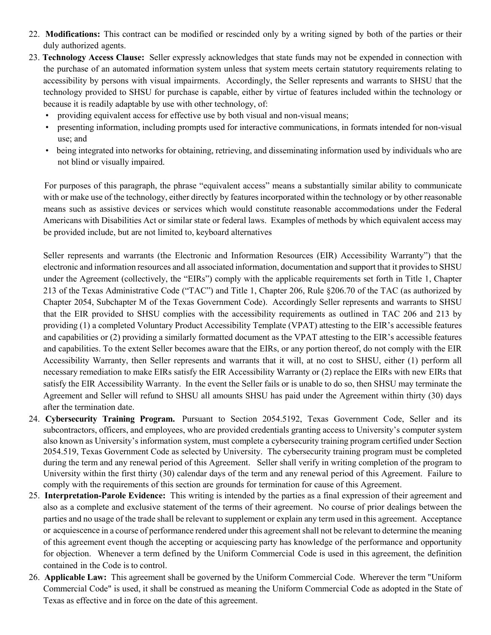- 22. **Modifications:** This contract can be modified or rescinded only by a writing signed by both of the parties or their duly authorized agents.
- 23. **Technology Access Clause:** Seller expressly acknowledges that state funds may not be expended in connection with the purchase of an automated information system unless that system meets certain statutory requirements relating to accessibility by persons with visual impairments. Accordingly, the Seller represents and warrants to SHSU that the technology provided to SHSU for purchase is capable, either by virtue of features included within the technology or because it is readily adaptable by use with other technology, of:
	- providing equivalent access for effective use by both visual and non-visual means;
	- presenting information, including prompts used for interactive communications, in formats intended for non-visual use; and
	- being integrated into networks for obtaining, retrieving, and disseminating information used by individuals who are not blind or visually impaired.

 For purposes of this paragraph, the phrase "equivalent access" means a substantially similar ability to communicate with or make use of the technology, either directly by features incorporated within the technology or by other reasonable means such as assistive devices or services which would constitute reasonable accommodations under the Federal Americans with Disabilities Act or similar state or federal laws. Examples of methods by which equivalent access may be provided include, but are not limited to, keyboard alternatives

Seller represents and warrants (the Electronic and Information Resources (EIR) Accessibility Warranty") that the electronic and information resources and all associated information, documentation and support that it provides to SHSU under the Agreement (collectively, the "EIRs") comply with the applicable requirements set forth in Title 1, Chapter 213 of the Texas Administrative Code ("TAC") and Title 1, Chapter 206, Rule §206.70 of the TAC (as authorized by Chapter 2054, Subchapter M of the Texas Government Code). Accordingly Seller represents and warrants to SHSU that the EIR provided to SHSU complies with the accessibility requirements as outlined in TAC 206 and 213 by providing (1) a completed Voluntary Product Accessibility Template (VPAT) attesting to the EIR's accessible features and capabilities or (2) providing a similarly formatted document as the VPAT attesting to the EIR's accessible features and capabilities. To the extent Seller becomes aware that the EIRs, or any portion thereof, do not comply with the EIR Accessibility Warranty, then Seller represents and warrants that it will, at no cost to SHSU, either (1) perform all necessary remediation to make EIRs satisfy the EIR Accessibility Warranty or (2) replace the EIRs with new EIRs that satisfy the EIR Accessibility Warranty. In the event the Seller fails or is unable to do so, then SHSU may terminate the Agreement and Seller will refund to SHSU all amounts SHSU has paid under the Agreement within thirty (30) days after the termination date.

- 24. **Cybersecurity Training Program.** Pursuant to Section 2054.5192, Texas Government Code, Seller and its subcontractors, officers, and employees, who are provided credentials granting access to University's computer system also known as University's information system, must complete a cybersecurity training program certified under Section 2054.519, Texas Government Code as selected by University. The cybersecurity training program must be completed during the term and any renewal period of this Agreement. Seller shall verify in writing completion of the program to University within the first thirty (30) calendar days of the term and any renewal period of this Agreement. Failure to comply with the requirements of this section are grounds for termination for cause of this Agreement.
- 25. **Interpretation-Parole Evidence:** This writing is intended by the parties as a final expression of their agreement and also as a complete and exclusive statement of the terms of their agreement. No course of prior dealings between the parties and no usage of the trade shall be relevant to supplement or explain any term used in this agreement. Acceptance or acquiescence in a course of performance rendered under this agreement shall not be relevant to determine the meaning of this agreement event though the accepting or acquiescing party has knowledge of the performance and opportunity for objection. Whenever a term defined by the Uniform Commercial Code is used in this agreement, the definition contained in the Code is to control.
- 26. **Applicable Law:** This agreement shall be governed by the Uniform Commercial Code. Wherever the term "Uniform Commercial Code" is used, it shall be construed as meaning the Uniform Commercial Code as adopted in the State of Texas as effective and in force on the date of this agreement.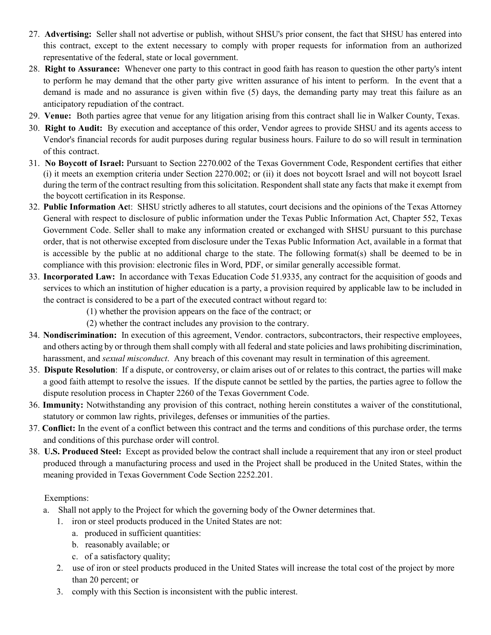- 27. **Advertising:** Seller shall not advertise or publish, without SHSU's prior consent, the fact that SHSU has entered into this contract, except to the extent necessary to comply with proper requests for information from an authorized representative of the federal, state or local government.
- 28. **Right to Assurance:** Whenever one party to this contract in good faith has reason to question the other party's intent to perform he may demand that the other party give written assurance of his intent to perform. In the event that a demand is made and no assurance is given within five (5) days, the demanding party may treat this failure as an anticipatory repudiation of the contract.
- 29. **Venue:** Both parties agree that venue for any litigation arising from this contract shall lie in Walker County, Texas.
- 30. **Right to Audit:** By execution and acceptance of this order, Vendor agrees to provide SHSU and its agents access to Vendor's financial records for audit purposes during regular business hours. Failure to do so will result in termination of this contract.
- 31. **No Boycott of Israel:** Pursuant to Section 2270.002 of the Texas Government Code, Respondent certifies that either (i) it meets an exemption criteria under Section 2270.002; or (ii) it does not boycott Israel and will not boycott Israel during the term of the contract resulting from this solicitation. Respondent shall state any facts that make it exempt from the boycott certification in its Response.
- 32. **Public Information Ac**t: SHSU strictly adheres to all statutes, court decisions and the opinions of the Texas Attorney General with respect to disclosure of public information under the Texas Public Information Act, Chapter 552, Texas Government Code. Seller shall to make any information created or exchanged with SHSU pursuant to this purchase order, that is not otherwise excepted from disclosure under the Texas Public Information Act, available in a format that is accessible by the public at no additional charge to the state. The following format(s) shall be deemed to be in compliance with this provision: electronic files in Word, PDF, or similar generally accessible format.
- 33. **Incorporated Law:** In accordance with Texas Education Code 51.9335, any contract for the acquisition of goods and services to which an institution of higher education is a party, a provision required by applicable law to be included in the contract is considered to be a part of the executed contract without regard to:
	- (1) whether the provision appears on the face of the contract; or
	- (2) whether the contract includes any provision to the contrary.
- 34. **Nondiscrimination:** In execution of this agreement, Vendor. contractors, subcontractors, their respective employees, and others acting by or through them shall comply with all federal and state policies and laws prohibiting discrimination, harassment, and *sexual misconduct*. Any breach of this covenant may result in termination of this agreement.
- 35. **Dispute Resolution**: If a dispute, or controversy, or claim arises out of or relates to this contract, the parties will make a good faith attempt to resolve the issues. If the dispute cannot be settled by the parties, the parties agree to follow the dispute resolution process in Chapter 2260 of the Texas Government Code.
- 36. **Immunity:** Notwithstanding any provision of this contract, nothing herein constitutes a waiver of the constitutional, statutory or common law rights, privileges, defenses or immunities of the parties.
- 37. **Conflict:** In the event of a conflict between this contract and the terms and conditions of this purchase order, the terms and conditions of this purchase order will control.
- 38. **U.S. Produced Steel:** Except as provided below the contract shall include a requirement that any iron or steel product produced through a manufacturing process and used in the Project shall be produced in the United States, within the meaning provided in Texas Government Code Section 2252.201.

## Exemptions:

- a. Shall not apply to the Project for which the governing body of the Owner determines that.
	- 1. iron or steel products produced in the United States are not:
		- a. produced in sufficient quantities:
		- b. reasonably available; or
		- c. of a satisfactory quality;
	- 2. use of iron or steel products produced in the United States will increase the total cost of the project by more than 20 percent; or
	- 3. comply with this Section is inconsistent with the public interest.